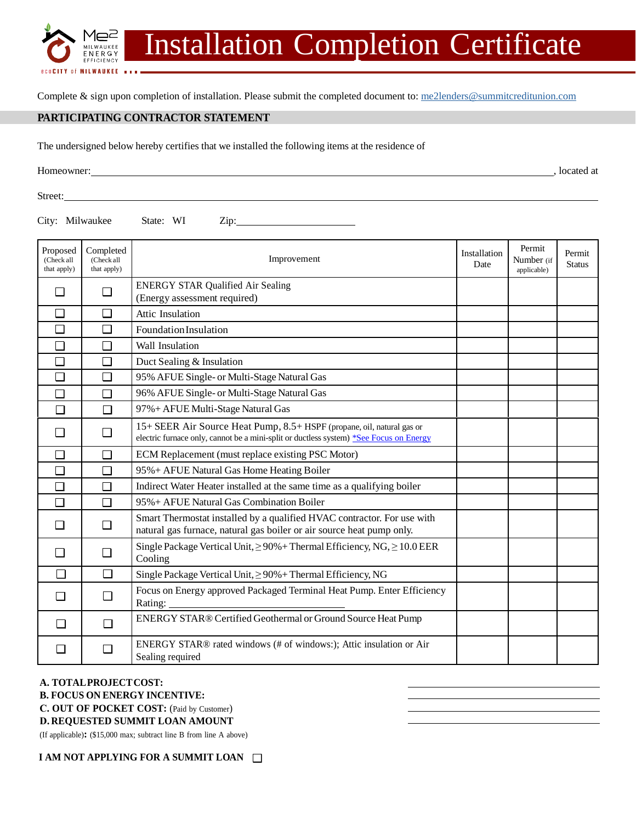

Complete & sign upon completion of installation. Please submit the completed document to[: me2lenders@summitcreditunion.com](mailto:me2lenders@summitcreditunion.com)

## **PARTICIPATING CONTRACTOR STATEMENT**

The undersigned below hereby certifies that we installed the following items at the residence of

Homeowner: , located at  $\blacksquare$ , located at  $\blacksquare$ , located at  $\blacksquare$ , located at  $\blacksquare$ , located at  $\blacksquare$ , located at  $\blacksquare$ , located at  $\blacksquare$ , located at  $\blacksquare$ , located at  $\blacksquare$ , located at  $\blacksquare$ , located at  $\blacksquare$ ,

**BCOCITY OF MILWAUKEE ....** 

Street:

City: Milwaukee State: WI Zip:

| Proposed<br>(Check all<br>that apply) | Completed<br>(Check all<br>that apply) | Improvement                                                                                                                                                      | Installation<br>Date | Permit<br>Number (if<br>applicable) | Permit<br><b>Status</b> |
|---------------------------------------|----------------------------------------|------------------------------------------------------------------------------------------------------------------------------------------------------------------|----------------------|-------------------------------------|-------------------------|
|                                       | П                                      | <b>ENERGY STAR Qualified Air Sealing</b><br>(Energy assessment required)                                                                                         |                      |                                     |                         |
| □                                     | $\Box$                                 | Attic Insulation                                                                                                                                                 |                      |                                     |                         |
| O                                     | $\Box$                                 | Foundation Insulation                                                                                                                                            |                      |                                     |                         |
| $\Box$                                | П                                      | <b>Wall Insulation</b>                                                                                                                                           |                      |                                     |                         |
| $\Box$                                | $\Box$                                 | Duct Sealing & Insulation                                                                                                                                        |                      |                                     |                         |
| $\Box$                                | П                                      | 95% AFUE Single- or Multi-Stage Natural Gas                                                                                                                      |                      |                                     |                         |
| $\Box$                                | $\Box$                                 | 96% AFUE Single- or Multi-Stage Natural Gas                                                                                                                      |                      |                                     |                         |
| ┐                                     | П                                      | 97% + AFUE Multi-Stage Natural Gas                                                                                                                               |                      |                                     |                         |
| $\blacksquare$                        | П                                      | 15+ SEER Air Source Heat Pump, 8.5+ HSPF (propane, oil, natural gas or<br>electric furnace only, cannot be a mini-split or ductless system) *See Focus on Energy |                      |                                     |                         |
| П                                     | П                                      | ECM Replacement (must replace existing PSC Motor)                                                                                                                |                      |                                     |                         |
| $\Box$                                | $\Box$                                 | 95% + AFUE Natural Gas Home Heating Boiler                                                                                                                       |                      |                                     |                         |
| $\Box$                                | $\Box$                                 | Indirect Water Heater installed at the same time as a qualifying boiler                                                                                          |                      |                                     |                         |
| $\Box$                                | $\Box$                                 | 95% + AFUE Natural Gas Combination Boiler                                                                                                                        |                      |                                     |                         |
|                                       | $\Box$                                 | Smart Thermostat installed by a qualified HVAC contractor. For use with<br>natural gas furnace, natural gas boiler or air source heat pump only.                 |                      |                                     |                         |
|                                       | П                                      | Single Package Vertical Unit, $\geq$ 90% + Thermal Efficiency, NG, $\geq$ 10.0 EER<br>Cooling                                                                    |                      |                                     |                         |
| ┐                                     | $\Box$                                 | Single Package Vertical Unit, ≥90% + Thermal Efficiency, NG                                                                                                      |                      |                                     |                         |
| - 1                                   | $\Box$                                 | Focus on Energy approved Packaged Terminal Heat Pump. Enter Efficiency<br>Rating:                                                                                |                      |                                     |                         |
|                                       | $\Box$                                 | ENERGY STAR® Certified Geothermal or Ground Source Heat Pump                                                                                                     |                      |                                     |                         |
|                                       | □                                      | ENERGY STAR® rated windows (# of windows:); Attic insulation or Air<br>Sealing required                                                                          |                      |                                     |                         |

## **A. TOTALPROJECT COST:**

- **B. FOCUS ON ENERGY INCENTIVE:**
- **C. OUT OF POCKET COST:** (Paid by Customer)

## **D. REQUESTED SUMMIT LOAN AMOUNT**

(If applicable)**:** (\$15,000 max; subtract line B from line A above)

**I AM NOT APPLYING FOR A SUMMIT LOAN**